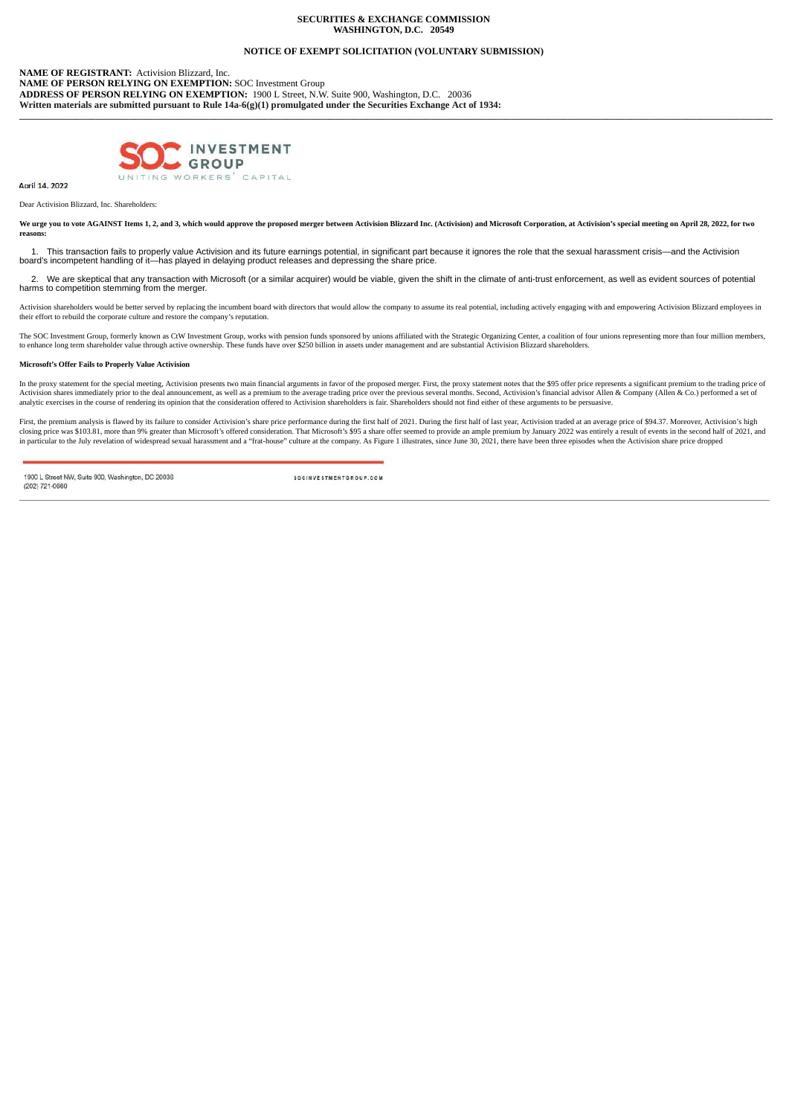## **SECURITIES & EXCHANGE COMMISSION WASHINGTON, D.C. 20549**

# **NOTICE OF EXEMPT SOLICITATION (VOLUNTARY SUBMISSION)**

**\_\_\_\_\_\_\_\_\_\_\_\_\_\_\_\_\_\_\_\_\_\_\_\_\_\_\_\_\_\_\_\_\_\_\_\_\_\_\_\_\_\_\_\_\_\_\_\_\_\_\_\_\_\_\_\_\_\_\_\_\_\_\_\_\_\_\_\_\_\_\_\_\_\_\_\_\_\_\_\_\_\_\_\_\_\_\_\_\_\_\_\_\_\_\_\_\_\_\_\_\_\_\_\_\_\_\_\_\_\_\_\_\_\_\_\_\_\_\_\_\_\_\_\_\_\_\_\_\_\_\_\_\_\_\_\_\_\_\_\_\_\_\_\_\_\_\_\_\_\_\_\_\_\_\_\_\_\_**

**NAME OF REGISTRANT:** Activision Blizzard, Inc. **NAME OF PERSON RELYING ON EXEMPTION:** SOC Investment Group **ADDRESS OF PERSON RELYING ON EXEMPTION:** 1900 L Street, N.W. Suite 900, Washington, D.C. 20036 **Written materials are submitted pursuant to Rule 14a-6(g)(1) promulgated under the Securities Exchange Act of 1934:**



April 14, 2022

Dear Activision Blizzard, Inc. Shareholders:

We urge you to vote AGAINST Items 1, 2, and 3, which would approve the proposed merger between Activision Blizzard Inc. (Activision) and Microsoft Corporation, at Activision's special meeting on April 28, 2022, for two **reasons:**

1. This transaction fails to properly value Activision and its future earnings potential, in significant part because it ignores the role that the sexual harassment crisis—and the Activision<br>board's incompetent handling of

2. We are skeptical that any transaction with Microsoft (or a similar acquirer) would be viable, given the shift in the climate of anti-trust enforcement, as well as evident sources of potential harms to competition stemming from the merger.

Activision shareholders would be better served by replacing the incumbent board with directors that would allow the company to assume its real potential, including actively engaging with and empowering Activision Blizzard

The SOC Investment Group, formerly known as CtW Investment Group, works with pension funds sponsored by unions affiliated with the Strategic Organizing Center, a coalition of four unions representing more than four million

#### **Microsoft's Offer Fails to Properly Value Activision**

In the proxy statement for the special meeting, Activision presents two main financial arguments in favor of the proposed merger. First, the proxy statement notes that the \$95 offer price represents a significant premium t Activision shares immediately prior to the deal announcement, as well as a premium to the average trading price over the previous several months. Second, Activision's financial advisor Allen & Company (Allen & Co.) perform

First, the premium analysis is flawed by its failure to consider Activision's share price performance during the first half of 2021. During the first half of last year, Activision traded at an average price of \$94.37. More

1900 L Street NW, Suite 900, Washington, DC 20036 (202) 721-0660

SOCINVESTMENTGROUP.COM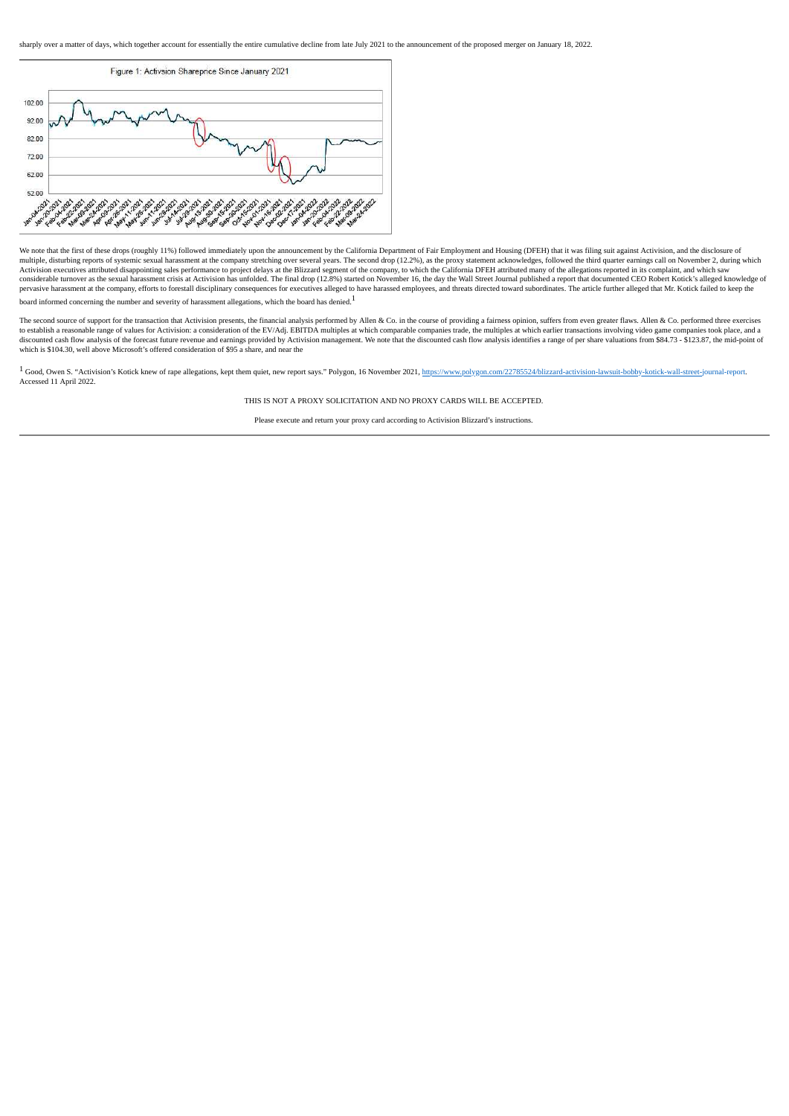

We note that the first of these drops (roughly 11%) followed immediately upon the announcement by the California Department of Fair Employment and Housing (DFEH) that it was filing suit against Activision, and the disclosu pervasive harassment at the company, efforts to forestall disciplinary consequences for executives alleged to have harassed employees, and threats directed toward subordinates. The article further alleged that Mr. Kotick f board informed concerning the number and severity of harassment allegations, which the board has denied. $^{\displaystyle 1}$ 

The second source of support for the transaction that Activision presents, the financial analysis performed by Allen & Co. in the course of providing a fairness opinion, suffers from even greater flaws. Allen & Co. perform discounted cash flow analysis of the forecast future revenue and earnings provided by Activision management. We note that the discounted cash flow analysis identifies a range of per share valuations from \$84.73 - \$123.87,

<sup>1</sup> Good, Owen S. "Activision's Kotick knew of rape allegations, kept them quiet, new report says." Polygon, 16 November 2021, https://www.polygon.com/22785524/blizzard-activision-lawsuit-bobby-kotick-wall-street-journal-r Accessed 11 April 2022.

THIS IS NOT A PROXY SOLICITATION AND NO PROXY CARDS WILL BE ACCEPTED.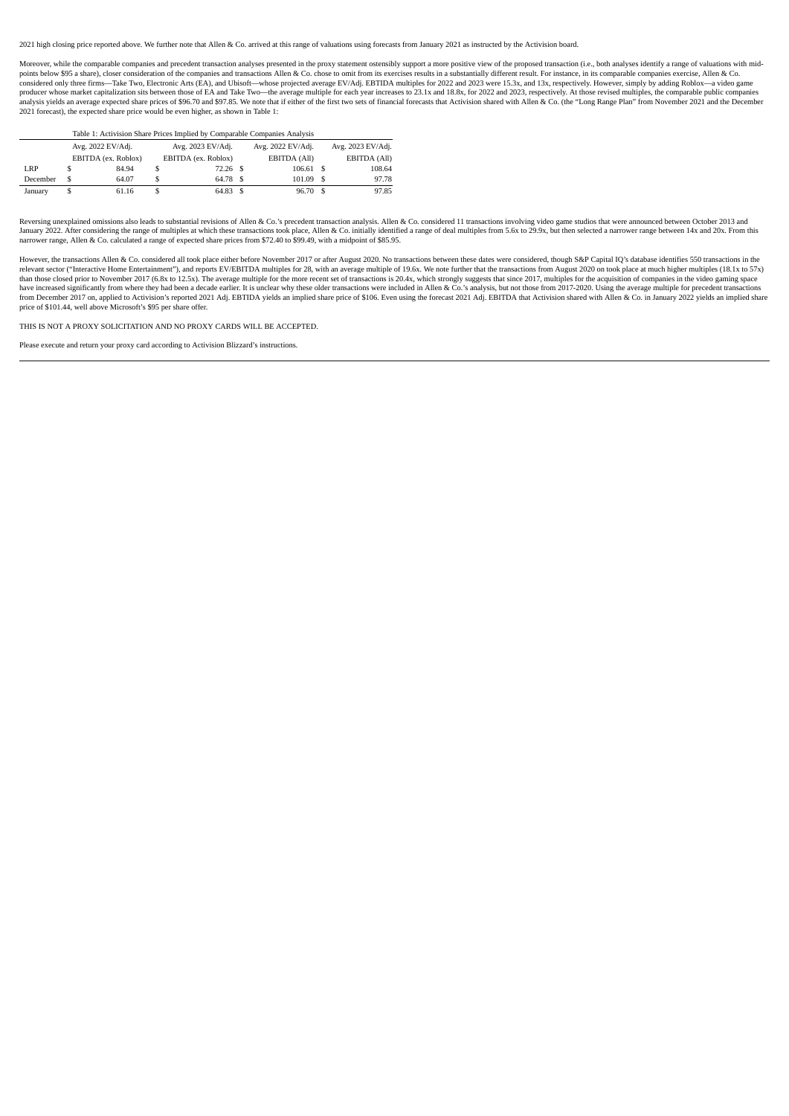2021 high closing price reported above. We further note that Allen & Co. arrived at this range of valuations using forecasts from January 2021 as instructed by the Activision board.

Moreover, while the comparable companies and precedent transaction analyses presented in the proxy statement ostensibly support a more positive view of the proposed transaction (i.e., both analyses identify a range of valu points below \$95 a share), closer consideration of the companies and transactions Allen & Co. chose to omit from its exercises results in a substantially different result. For instance, in its comparable companies exercise producer whose market capitalization sits between those of EA and Take Two—the average multiple for each year increases to 23.1x and 18.8x, for 2022 and 2023, respectively. At those revised multiples, the comparable public 2021 forecast), the expected share price would be even higher, as shown in Table 1:

| Table 1: Activision Share Prices Implied by Comparable Companies Analysis |                   |                     |                   |                     |  |                   |    |                   |
|---------------------------------------------------------------------------|-------------------|---------------------|-------------------|---------------------|--|-------------------|----|-------------------|
|                                                                           | Avg. 2022 EV/Adj. |                     | Avg. 2023 EV/Adj. |                     |  | Avg. 2022 EV/Adj. |    | Avg. 2023 EV/Adj. |
|                                                                           |                   | EBITDA (ex. Roblox) |                   | EBITDA (ex. Roblox) |  | EBITDA (All)      |    | EBITDA (All)      |
| LRP                                                                       | S                 | 84.94               |                   | $72.26$ \$          |  | 106.61 S          |    | 108.64            |
| December                                                                  | \$                | 64.07               |                   | 64.78 \$            |  | 101.09            | £. | 97.78             |
| January                                                                   | S                 | 61.16               |                   | 64.83 \$            |  | 96.70             | -S | 97.85             |

Reversing unexplained omissions also leads to substantial revisions of Allen & Co 's precedent transaction analysis, Allen & Co considered 11 transactions involving video game studios that were announced between October 2 Account and the magnetic matter of multiples at which these transactions took place, Allen & Co. initially identified a range of deal multiples from 5.6x to 29.9x, but then selected a narrower range between 14x and 20x. Fr narrower range, Allen & Co. calculated a range of expected share prices from \$72.40 to \$99.49, with a midpoint of \$85.95.

However, the transactions Allen & Co. considered all took place either before November 2017 or after August 2020. No transactions between these dates were considered, though S&P Capital IQ's database identifies 550 transac than those closed prior to November 2017 (6.8x to 12.5x). The average multiple for the more recent set of transactions is 20.4x, which strongly suggests that since 2017, multiples for the acquisition of companies in the vi have increased significantly from where they had been a decade earlier. It is unclear why these older transactions were included in Allen & Co.'s analysis, but not those from 2017-2020. Using the average multiple for prece price of \$101.44, well above Microsoft's \$95 per share offer.

THIS IS NOT A PROXY SOLICITATION AND NO PROXY CARDS WILL BE ACCEPTED.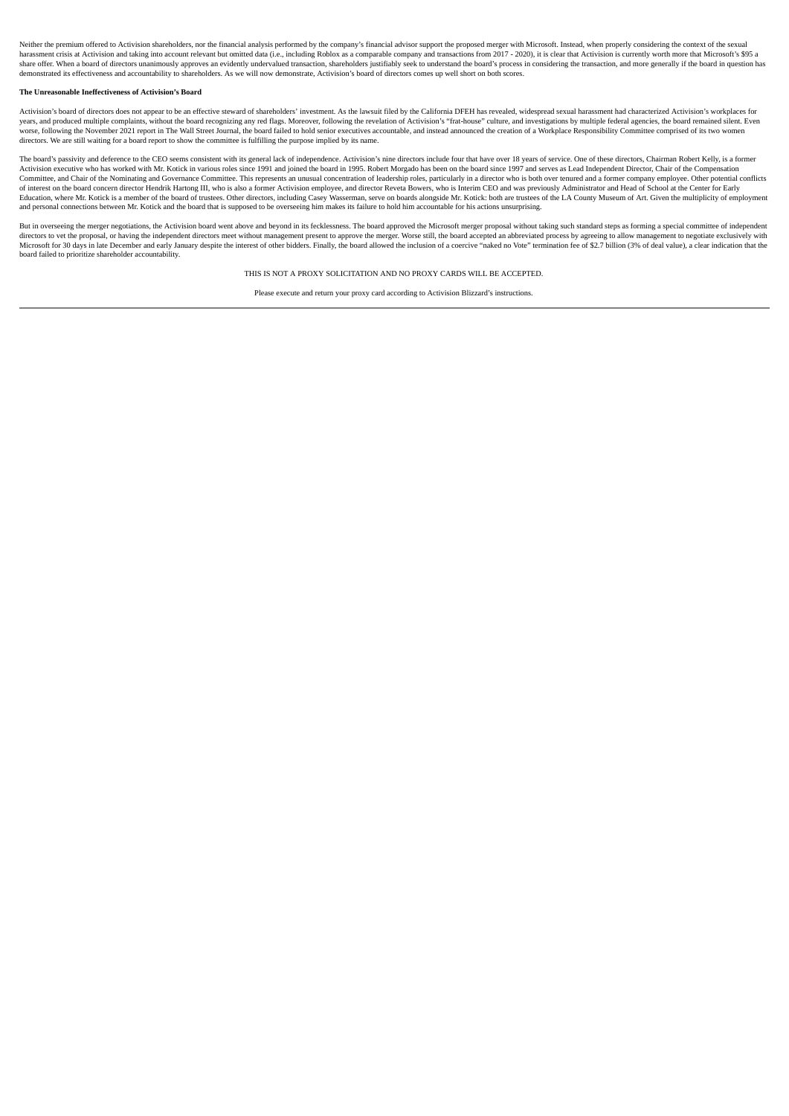Neither the premium offered to Activision shareholders, nor the financial analysis performed by the company's financial advisor support the proposed merger with Microsoft. Instead, when properly considering the context of harassment crisis at Activision and taking into account relevant but omitted data (i.e., including Roblox as a comparable company and transactions from 2017 - 2020), it is clear that Activision is currently worth more that demonstrated its effectiveness and accountability to shareholders. As we will now demonstrate, Activision's board of directors comes up well short on both scores.

#### **The Unreasonable Ineffectiveness of Activision's Board**

Activision's board of directors does not appear to be an effective steward of shareholders' investment. As the lawsuit filed by the California DFEH has revealed, widespread sexual harassment had characterized Activision's years, and produced multiple complaints, without the board recognizing any red flags. Moreover, following the revelation of Activision's "frat-house" culture, and investigations by multiple federal agencies, the board rema directors. We are still waiting for a board report to show the committee is fulfilling the purpose implied by its name.

The board's passivity and deference to the CEO seems consistent with its general lack of independence. Activision's nine directors include four that have over 18 years of service. One of these directors, Chairman Robert Ke Activision executive who has worked with Mr. Kotick in various roles since 1991 and joined the board in 1995. Robert Morgado has been on the board since 1997 and serves as Lead Independent Director, Chair of the Compensati Committee, and Chair of the Nominating and Governance Committee. This represents an unusual concentration of leadership roles, particularly in a director who is both over tenured and a former company employee. Other potent and personal connections between Mr. Kotick and the board that is supposed to be overseeing him makes its failure to hold him accountable for his actions unsurprising.

But in overseeing the merger negotiations, the Activision board went above and beyond in its fecklessness. The board approved the Microsoft merger proposal without taking such standard steps as forming a special committee directors to vet the proposal, or having the independent directors meet without management present to approve the merger. Worse still, the board accepted an abbreviated process by agreeing to allow management to negotiate board failed to prioritize shareholder accountability.

THIS IS NOT A PROXY SOLICITATION AND NO PROXY CARDS WILL BE ACCEPTED.